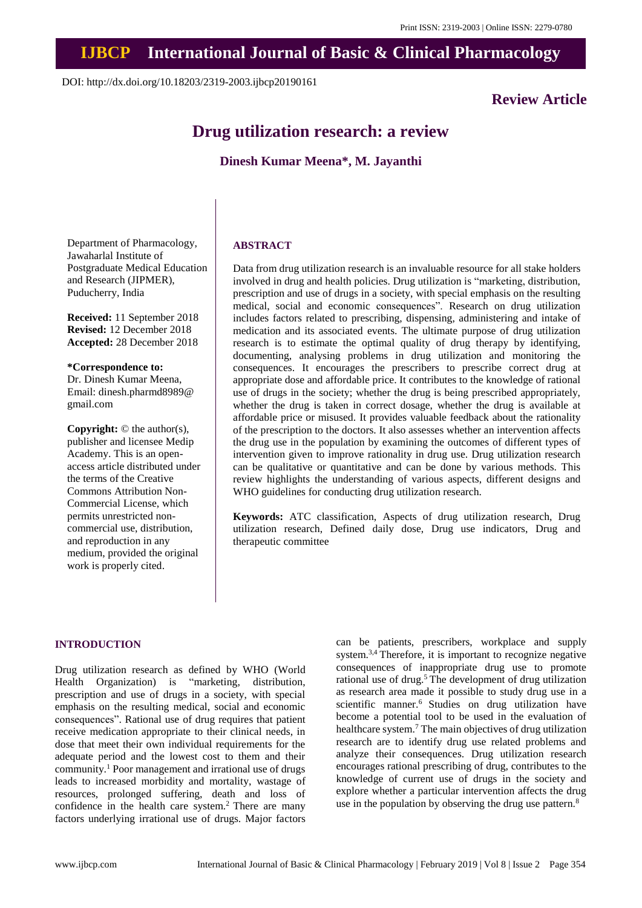# **IJBCP International Journal of Basic & Clinical Pharmacology**

DOI: http://dx.doi.org/10.18203/2319-2003.ijbcp20190161

## **Review Article**

## **Drug utilization research: a review**

## **Dinesh Kumar Meena\*, M. Jayanthi**

Department of Pharmacology, Jawaharlal Institute of Postgraduate Medical Education and Research (JIPMER), Puducherry, India

**Received:** 11 September 2018 **Revised:** 12 December 2018 **Accepted:** 28 December 2018

**\*Correspondence to:** Dr. Dinesh Kumar Meena, Email: dinesh.pharmd8989@ gmail.com

**Copyright:** © the author(s), publisher and licensee Medip Academy. This is an openaccess article distributed under the terms of the Creative Commons Attribution Non-Commercial License, which permits unrestricted noncommercial use, distribution, and reproduction in any medium, provided the original work is properly cited.

## **ABSTRACT**

Data from drug utilization research is an invaluable resource for all stake holders involved in drug and health policies. Drug utilization is "marketing, distribution, prescription and use of drugs in a society, with special emphasis on the resulting medical, social and economic consequences". Research on drug utilization includes factors related to prescribing, dispensing, administering and intake of medication and its associated events. The ultimate purpose of drug utilization research is to estimate the optimal quality of drug therapy by identifying, documenting, analysing problems in drug utilization and monitoring the consequences. It encourages the prescribers to prescribe correct drug at appropriate dose and affordable price. It contributes to the knowledge of rational use of drugs in the society; whether the drug is being prescribed appropriately, whether the drug is taken in correct dosage, whether the drug is available at affordable price or misused. It provides valuable feedback about the rationality of the prescription to the doctors. It also assesses whether an intervention affects the drug use in the population by examining the outcomes of different types of intervention given to improve rationality in drug use. Drug utilization research can be qualitative or quantitative and can be done by various methods. This review highlights the understanding of various aspects, different designs and WHO guidelines for conducting drug utilization research.

**Keywords:** ATC classification, Aspects of drug utilization research, Drug utilization research, Defined daily dose, Drug use indicators, Drug and therapeutic committee

## **INTRODUCTION**

Drug utilization research as defined by WHO (World Health Organization) is "marketing, distribution, prescription and use of drugs in a society, with special emphasis on the resulting medical, social and economic consequences". Rational use of drug requires that patient receive medication appropriate to their clinical needs, in dose that meet their own individual requirements for the adequate period and the lowest cost to them and their community.<sup>1</sup> Poor management and irrational use of drugs leads to increased morbidity and mortality, wastage of resources, prolonged suffering, death and loss of confidence in the health care system.<sup>2</sup> There are many factors underlying irrational use of drugs. Major factors can be patients, prescribers, workplace and supply system.3,4 Therefore, it is important to recognize negative consequences of inappropriate drug use to promote rational use of drug.<sup>5</sup> The development of drug utilization as research area made it possible to study drug use in a scientific manner.<sup>6</sup> Studies on drug utilization have become a potential tool to be used in the evaluation of healthcare system.<sup>7</sup> The main objectives of drug utilization research are to identify drug use related problems and analyze their consequences. Drug utilization research encourages rational prescribing of drug, contributes to the knowledge of current use of drugs in the society and explore whether a particular intervention affects the drug use in the population by observing the drug use pattern. $8$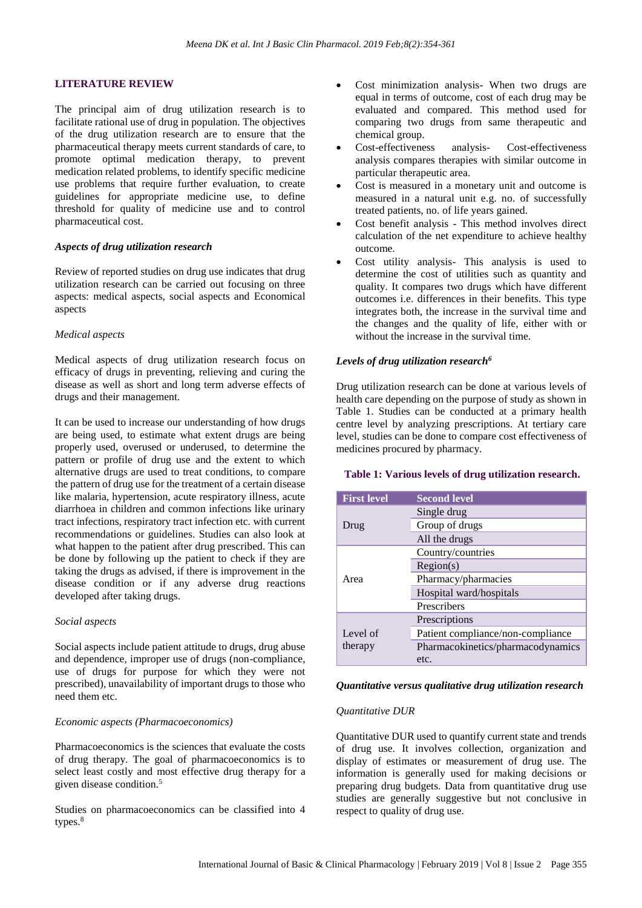## **LITERATURE REVIEW**

The principal aim of drug utilization research is to facilitate rational use of drug in population. The objectives of the drug utilization research are to ensure that the pharmaceutical therapy meets current standards of care, to promote optimal medication therapy, to prevent medication related problems, to identify specific medicine use problems that require further evaluation, to create guidelines for appropriate medicine use, to define threshold for quality of medicine use and to control pharmaceutical cost.

#### *Aspects of drug utilization research*

Review of reported studies on drug use indicates that drug utilization research can be carried out focusing on three aspects: medical aspects, social aspects and Economical aspects

#### *Medical aspects*

Medical aspects of drug utilization research focus on efficacy of drugs in preventing, relieving and curing the disease as well as short and long term adverse effects of drugs and their management.

It can be used to increase our understanding of how drugs are being used, to estimate what extent drugs are being properly used, overused or underused, to determine the pattern or profile of drug use and the extent to which alternative drugs are used to treat conditions, to compare the pattern of drug use for the treatment of a certain disease like malaria, hypertension, acute respiratory illness, acute diarrhoea in children and common infections like urinary tract infections, respiratory tract infection etc. with current recommendations or guidelines. Studies can also look at what happen to the patient after drug prescribed. This can be done by following up the patient to check if they are taking the drugs as advised, if there is improvement in the disease condition or if any adverse drug reactions developed after taking drugs.

#### *Social aspects*

Social aspects include patient attitude to drugs, drug abuse and dependence, improper use of drugs (non-compliance, use of drugs for purpose for which they were not prescribed), unavailability of important drugs to those who need them etc.

#### *Economic aspects (Pharmacoeconomics)*

Pharmacoeconomics is the sciences that evaluate the costs of drug therapy. The goal of pharmacoeconomics is to select least costly and most effective drug therapy for a given disease condition.<sup>5</sup>

Studies on pharmacoeconomics can be classified into 4 types. 8

- Cost minimization analysis- When two drugs are equal in terms of outcome, cost of each drug may be evaluated and compared. This method used for comparing two drugs from same therapeutic and chemical group.
- Cost-effectiveness analysis- Cost-effectiveness analysis compares therapies with similar outcome in particular therapeutic area.
- Cost is measured in a monetary unit and outcome is measured in a natural unit e.g. no. of successfully treated patients, no. of life years gained.
- Cost benefit analysis This method involves direct calculation of the net expenditure to achieve healthy outcome.
- Cost utility analysis- This analysis is used to determine the cost of utilities such as quantity and quality. It compares two drugs which have different outcomes i.e. differences in their benefits. This type integrates both, the increase in the survival time and the changes and the quality of life, either with or without the increase in the survival time.

#### *Levels of drug utilization research<sup>6</sup>*

Drug utilization research can be done at various levels of health care depending on the purpose of study as shown in Table 1. Studies can be conducted at a primary health centre level by analyzing prescriptions. At tertiary care level, studies can be done to compare cost effectiveness of medicines procured by pharmacy.

#### **Table 1: Various levels of drug utilization research.**

| <b>First level</b>  | <b>Second level</b>               |
|---------------------|-----------------------------------|
| Drug                | Single drug                       |
|                     | Group of drugs                    |
|                     | All the drugs                     |
| Area                | Country/countries                 |
|                     | Region(s)                         |
|                     | Pharmacy/pharmacies               |
|                     | Hospital ward/hospitals           |
|                     | Prescribers                       |
| Level of<br>therapy | Prescriptions                     |
|                     | Patient compliance/non-compliance |
|                     | Pharmacokinetics/pharmacodynamics |
|                     | etc.                              |

#### *Quantitative versus qualitative drug utilization research*

#### *Quantitative DUR*

Quantitative DUR used to quantify current state and trends of drug use. It involves collection, organization and display of estimates or measurement of drug use. The information is generally used for making decisions or preparing drug budgets. Data from quantitative drug use studies are generally suggestive but not conclusive in respect to quality of drug use.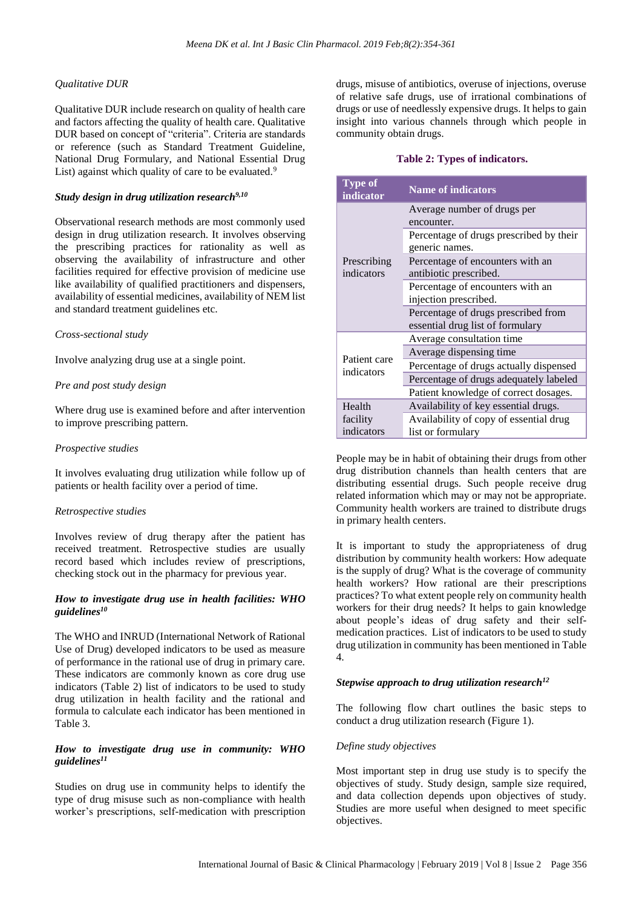## *Qualitative DUR*

Qualitative DUR include research on quality of health care and factors affecting the quality of health care. Qualitative DUR based on concept of "criteria". Criteria are standards or reference (such as Standard Treatment Guideline, National Drug Formulary, and National Essential Drug List) against which quality of care to be evaluated.<sup>9</sup>

## *Study design in drug utilization research9,10*

Observational research methods are most commonly used design in drug utilization research. It involves observing the prescribing practices for rationality as well as observing the availability of infrastructure and other facilities required for effective provision of medicine use like availability of qualified practitioners and dispensers, availability of essential medicines, availability of NEM list and standard treatment guidelines etc.

#### *Cross-sectional study*

Involve analyzing drug use at a single point.

## *Pre and post study design*

Where drug use is examined before and after intervention to improve prescribing pattern.

#### *Prospective studies*

It involves evaluating drug utilization while follow up of patients or health facility over a period of time.

#### *Retrospective studies*

Involves review of drug therapy after the patient has received treatment. Retrospective studies are usually record based which includes review of prescriptions, checking stock out in the pharmacy for previous year.

## *How to investigate drug use in health facilities: WHO guidelines<sup>10</sup>*

The WHO and INRUD (International Network of Rational Use of Drug) developed indicators to be used as measure of performance in the rational use of drug in primary care. These indicators are commonly known as core drug use indicators (Table 2) list of indicators to be used to study drug utilization in health facility and the rational and formula to calculate each indicator has been mentioned in Table 3.

## *How to investigate drug use in community: WHO guidelines<sup>11</sup>*

Studies on drug use in community helps to identify the type of drug misuse such as non-compliance with health worker's prescriptions, self-medication with prescription

drugs, misuse of antibiotics, overuse of injections, overuse of relative safe drugs, use of irrational combinations of drugs or use of needlessly expensive drugs. It helps to gain insight into various channels through which people in community obtain drugs.

### **Table 2: Types of indicators.**

| Type of<br>indicator       | <b>Name of indicators</b>                                               |
|----------------------------|-------------------------------------------------------------------------|
| Prescribing<br>indicators  | Average number of drugs per<br>encounter.                               |
|                            | Percentage of drugs prescribed by their<br>generic names.               |
|                            | Percentage of encounters with an<br>antibiotic prescribed.              |
|                            | Percentage of encounters with an<br>injection prescribed.               |
|                            | Percentage of drugs prescribed from<br>essential drug list of formulary |
| Patient care<br>indicators | Average consultation time                                               |
|                            | Average dispensing time                                                 |
|                            | Percentage of drugs actually dispensed                                  |
|                            | Percentage of drugs adequately labeled                                  |
|                            | Patient knowledge of correct dosages.                                   |
| Health                     | Availability of key essential drugs.                                    |
| facility                   | Availability of copy of essential drug                                  |
| indicators                 | list or formulary                                                       |

People may be in habit of obtaining their drugs from other drug distribution channels than health centers that are distributing essential drugs. Such people receive drug related information which may or may not be appropriate. Community health workers are trained to distribute drugs in primary health centers.

It is important to study the appropriateness of drug distribution by community health workers: How adequate is the supply of drug? What is the coverage of community health workers? How rational are their prescriptions practices? To what extent people rely on community health workers for their drug needs? It helps to gain knowledge about people's ideas of drug safety and their selfmedication practices. List of indicators to be used to study drug utilization in community has been mentioned in Table 4.

## *Stepwise approach to drug utilization research<sup>12</sup>*

The following flow chart outlines the basic steps to conduct a drug utilization research (Figure 1).

#### *Define study objectives*

Most important step in drug use study is to specify the objectives of study. Study design, sample size required, and data collection depends upon objectives of study. Studies are more useful when designed to meet specific objectives.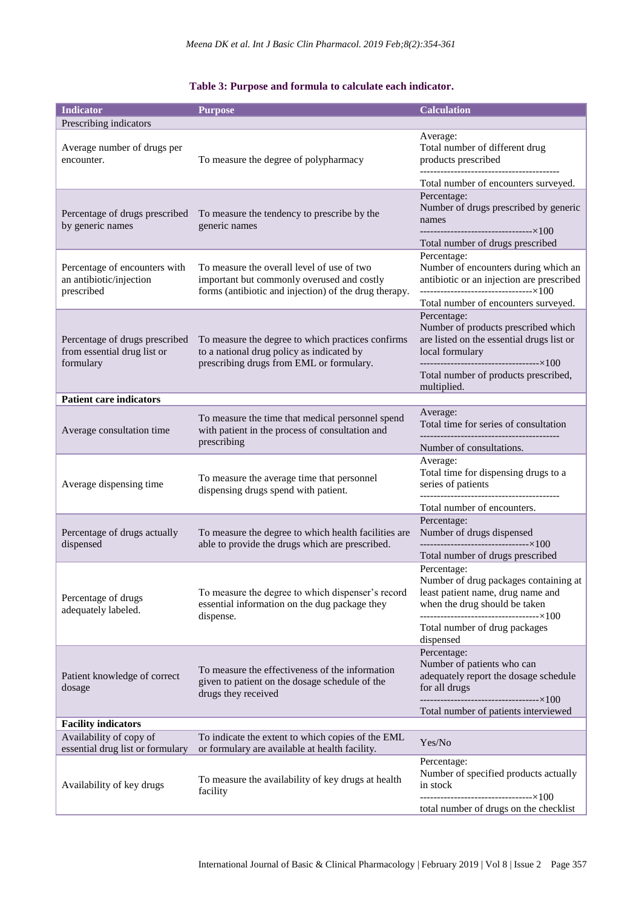## **Table 3: Purpose and formula to calculate each indicator.**

| <b>Indicator</b>                                                           | <b>Purpose</b>                                                                                                                                    | <b>Calculation</b>                                                                                                                                                        |
|----------------------------------------------------------------------------|---------------------------------------------------------------------------------------------------------------------------------------------------|---------------------------------------------------------------------------------------------------------------------------------------------------------------------------|
| Prescribing indicators                                                     |                                                                                                                                                   |                                                                                                                                                                           |
| Average number of drugs per<br>encounter.                                  | To measure the degree of polypharmacy                                                                                                             | Average:<br>Total number of different drug<br>products prescribed                                                                                                         |
|                                                                            |                                                                                                                                                   | Total number of encounters surveyed.                                                                                                                                      |
| Percentage of drugs prescribed<br>by generic names                         | To measure the tendency to prescribe by the<br>generic names                                                                                      | Percentage:<br>Number of drugs prescribed by generic<br>names                                                                                                             |
|                                                                            |                                                                                                                                                   | Total number of drugs prescribed                                                                                                                                          |
| Percentage of encounters with<br>an antibiotic/injection<br>prescribed     | To measure the overall level of use of two<br>important but commonly overused and costly<br>forms (antibiotic and injection) of the drug therapy. | Percentage:<br>Number of encounters during which an<br>antibiotic or an injection are prescribed                                                                          |
|                                                                            |                                                                                                                                                   | Total number of encounters surveyed.                                                                                                                                      |
| Percentage of drugs prescribed<br>from essential drug list or<br>formulary | To measure the degree to which practices confirms<br>to a national drug policy as indicated by<br>prescribing drugs from EML or formulary.        | Percentage:<br>Number of products prescribed which<br>are listed on the essential drugs list or<br>local formulary<br>Total number of products prescribed,<br>multiplied. |
| <b>Patient care indicators</b>                                             |                                                                                                                                                   |                                                                                                                                                                           |
| Average consultation time                                                  | To measure the time that medical personnel spend<br>with patient in the process of consultation and                                               | Average:<br>Total time for series of consultation                                                                                                                         |
|                                                                            | prescribing                                                                                                                                       | Number of consultations.                                                                                                                                                  |
| Average dispensing time                                                    | To measure the average time that personnel<br>dispensing drugs spend with patient.                                                                | Average:<br>Total time for dispensing drugs to a<br>series of patients                                                                                                    |
|                                                                            |                                                                                                                                                   | Total number of encounters.                                                                                                                                               |
| Percentage of drugs actually<br>dispensed                                  | To measure the degree to which health facilities are<br>able to provide the drugs which are prescribed.                                           | Percentage:<br>Number of drugs dispensed<br>Total number of drugs prescribed                                                                                              |
| Percentage of drugs<br>adequately labeled.                                 | To measure the degree to which dispenser's record<br>essential information on the dug package they<br>dispense.                                   | Percentage:<br>Number of drug packages containing at<br>least patient name, drug name and<br>when the drug should be taken<br>Total number of drug packages               |
|                                                                            |                                                                                                                                                   | dispensed                                                                                                                                                                 |
| Patient knowledge of correct<br>dosage                                     | To measure the effectiveness of the information<br>given to patient on the dosage schedule of the<br>drugs they received                          | Percentage:<br>Number of patients who can<br>adequately report the dosage schedule<br>for all drugs                                                                       |
|                                                                            |                                                                                                                                                   | Total number of patients interviewed                                                                                                                                      |
| <b>Facility indicators</b>                                                 |                                                                                                                                                   |                                                                                                                                                                           |
| Availability of copy of<br>essential drug list or formulary                | To indicate the extent to which copies of the EML<br>or formulary are available at health facility.                                               | Yes/No                                                                                                                                                                    |
| Availability of key drugs                                                  | To measure the availability of key drugs at health<br>facility                                                                                    | Percentage:<br>Number of specified products actually<br>in stock                                                                                                          |
|                                                                            |                                                                                                                                                   | total number of drugs on the checklist                                                                                                                                    |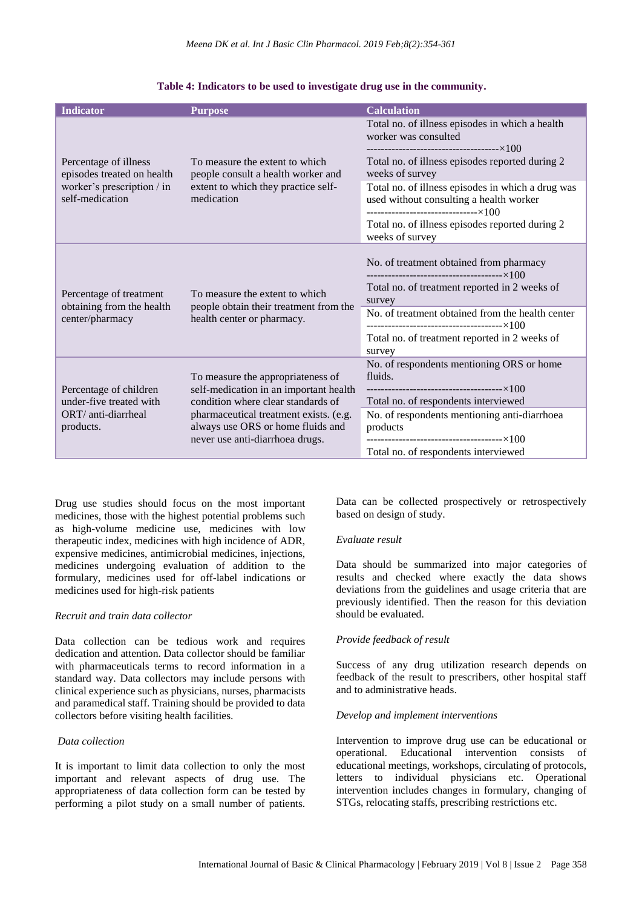| <b>Indicator</b>                                                                                     | <b>Purpose</b>                                                                                                                                                                                                                      | <b>Calculation</b>                                                                                                                       |
|------------------------------------------------------------------------------------------------------|-------------------------------------------------------------------------------------------------------------------------------------------------------------------------------------------------------------------------------------|------------------------------------------------------------------------------------------------------------------------------------------|
| Percentage of illness<br>episodes treated on health<br>worker's prescription / in<br>self-medication | To measure the extent to which<br>people consult a health worker and<br>extent to which they practice self-<br>medication                                                                                                           | Total no. of illness episodes in which a health<br>worker was consulted                                                                  |
|                                                                                                      |                                                                                                                                                                                                                                     | Total no. of illness episodes reported during 2<br>weeks of survey                                                                       |
|                                                                                                      |                                                                                                                                                                                                                                     | Total no. of illness episodes in which a drug was<br>used without consulting a health worker<br>----------------------------------- ×100 |
|                                                                                                      |                                                                                                                                                                                                                                     | Total no. of illness episodes reported during 2<br>weeks of survey                                                                       |
| Percentage of treatment<br>obtaining from the health<br>center/pharmacy                              | To measure the extent to which<br>people obtain their treatment from the<br>health center or pharmacy.                                                                                                                              | No. of treatment obtained from pharmacy                                                                                                  |
|                                                                                                      |                                                                                                                                                                                                                                     | Total no. of treatment reported in 2 weeks of<br>survey                                                                                  |
|                                                                                                      |                                                                                                                                                                                                                                     | No. of treatment obtained from the health center                                                                                         |
|                                                                                                      |                                                                                                                                                                                                                                     | Total no. of treatment reported in 2 weeks of<br>survey                                                                                  |
| Percentage of children<br>under-five treated with<br>ORT/anti-diarrheal<br>products.                 | To measure the appropriateness of<br>self-medication in an important health<br>condition where clear standards of<br>pharmaceutical treatment exists. (e.g.<br>always use ORS or home fluids and<br>never use anti-diarrhoea drugs. | No. of respondents mentioning ORS or home<br>fluids.                                                                                     |
|                                                                                                      |                                                                                                                                                                                                                                     |                                                                                                                                          |
|                                                                                                      |                                                                                                                                                                                                                                     | Total no. of respondents interviewed                                                                                                     |
|                                                                                                      |                                                                                                                                                                                                                                     | No. of respondents mentioning anti-diarrhoea                                                                                             |
|                                                                                                      |                                                                                                                                                                                                                                     | products                                                                                                                                 |
|                                                                                                      |                                                                                                                                                                                                                                     | Total no. of respondents interviewed                                                                                                     |

#### **Table 4: Indicators to be used to investigate drug use in the community.**

Drug use studies should focus on the most important medicines, those with the highest potential problems such as high-volume medicine use, medicines with low therapeutic index, medicines with high incidence of ADR, expensive medicines, antimicrobial medicines, injections, medicines undergoing evaluation of addition to the formulary, medicines used for off-label indications or medicines used for high-risk patients

#### *Recruit and train data collector*

Data collection can be tedious work and requires dedication and attention. Data collector should be familiar with pharmaceuticals terms to record information in a standard way. Data collectors may include persons with clinical experience such as physicians, nurses, pharmacists and paramedical staff. Training should be provided to data collectors before visiting health facilities.

## *Data collection*

It is important to limit data collection to only the most important and relevant aspects of drug use. The appropriateness of data collection form can be tested by performing a pilot study on a small number of patients. Data can be collected prospectively or retrospectively based on design of study.

#### *Evaluate result*

Data should be summarized into major categories of results and checked where exactly the data shows deviations from the guidelines and usage criteria that are previously identified. Then the reason for this deviation should be evaluated.

#### *Provide feedback of result*

Success of any drug utilization research depends on feedback of the result to prescribers, other hospital staff and to administrative heads.

## *Develop and implement interventions*

Intervention to improve drug use can be educational or operational. Educational intervention consists of educational meetings, workshops, circulating of protocols, letters to individual physicians etc. Operational intervention includes changes in formulary, changing of STGs, relocating staffs, prescribing restrictions etc.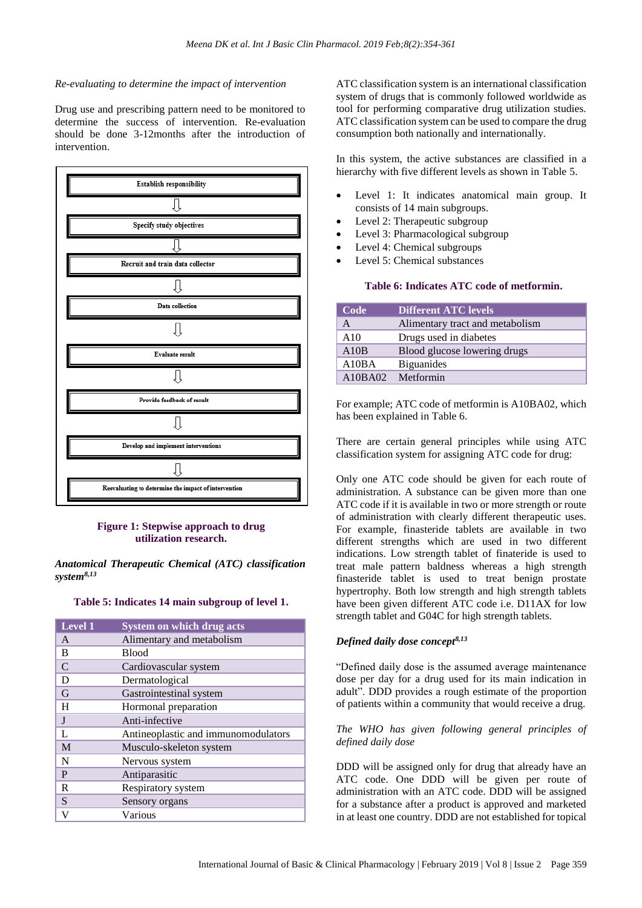## *Re-evaluating to determine the impact of intervention*

Drug use and prescribing pattern need to be monitored to determine the success of intervention. Re-evaluation should be done 3-12months after the introduction of intervention.



## **Figure 1: Stepwise approach to drug utilization research.**

*Anatomical Therapeutic Chemical (ATC) classification system8,13*

#### **Table 5: Indicates 14 main subgroup of level 1.**

| <b>Level 1</b> | <b>System on which drug acts</b>    |
|----------------|-------------------------------------|
| A              | Alimentary and metabolism           |
| B              | <b>Blood</b>                        |
| $\mathcal{C}$  | Cardiovascular system               |
| D              | Dermatological                      |
| G              | Gastrointestinal system             |
| H              | Hormonal preparation                |
| J              | Anti-infective                      |
| L              | Antineoplastic and immunomodulators |
| M              | Musculo-skeleton system             |
| N              | Nervous system                      |
| P              | Antiparasitic                       |
| R              | Respiratory system                  |
| S              | Sensory organs                      |
| V              | Various                             |

ATC classification system is an international classification system of drugs that is commonly followed worldwide as tool for performing comparative drug utilization studies. ATC classification system can be used to compare the drug consumption both nationally and internationally.

In this system, the active substances are classified in a hierarchy with five different levels as shown in Table 5.

- Level 1: It indicates anatomical main group. It consists of 14 main subgroups.
- Level 2: Therapeutic subgroup
- Level 3: Pharmacological subgroup
- Level 4: Chemical subgroups
- Level 5: Chemical substances

#### **Table 6: Indicates ATC code of metformin.**

| Code    | <b>Different ATC levels</b>     |
|---------|---------------------------------|
| А       | Alimentary tract and metabolism |
| A10     | Drugs used in diabetes          |
| A10B    | Blood glucose lowering drugs    |
| A10BA   | <b>Biguanides</b>               |
| A10BA02 | Metformin                       |

For example; ATC code of metformin is A10BA02, which has been explained in Table 6.

There are certain general principles while using ATC classification system for assigning ATC code for drug:

Only one ATC code should be given for each route of administration. A substance can be given more than one ATC code if it is available in two or more strength or route of administration with clearly different therapeutic uses. For example, finasteride tablets are available in two different strengths which are used in two different indications. Low strength tablet of finateride is used to treat male pattern baldness whereas a high strength finasteride tablet is used to treat benign prostate hypertrophy. Both low strength and high strength tablets have been given different ATC code i.e. D11AX for low strength tablet and G04C for high strength tablets.

## *Defined daily dose concept8,13*

"Defined daily dose is the assumed average maintenance dose per day for a drug used for its main indication in adult". DDD provides a rough estimate of the proportion of patients within a community that would receive a drug.

## *The WHO has given following general principles of defined daily dose*

DDD will be assigned only for drug that already have an ATC code. One DDD will be given per route of administration with an ATC code. DDD will be assigned for a substance after a product is approved and marketed in at least one country. DDD are not established for topical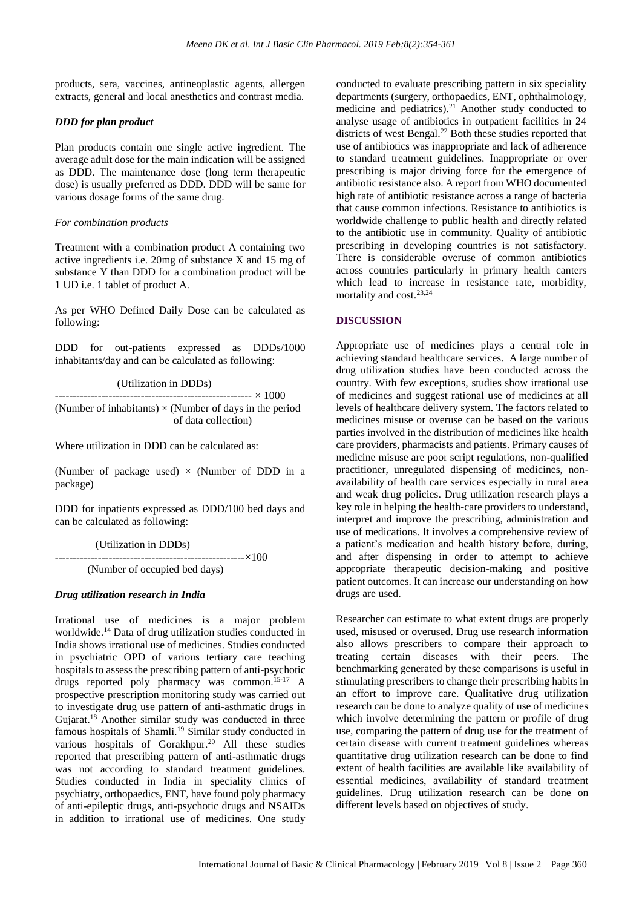products, sera, vaccines, antineoplastic agents, allergen extracts, general and local anesthetics and contrast media.

## *DDD for plan product*

Plan products contain one single active ingredient. The average adult dose for the main indication will be assigned as DDD. The maintenance dose (long term therapeutic dose) is usually preferred as DDD. DDD will be same for various dosage forms of the same drug.

## *For combination products*

Treatment with a combination product A containing two active ingredients i.e. 20mg of substance X and 15 mg of substance Y than DDD for a combination product will be 1 UD i.e. 1 tablet of product A.

As per WHO Defined Daily Dose can be calculated as following:

DDD for out-patients expressed as DDDs/1000 inhabitants/day and can be calculated as following:

#### (Utilization in DDDs)

------------------------------------------------------- × 1000 (Number of inhabitants)  $\times$  (Number of days in the period of data collection)

Where utilization in DDD can be calculated as:

(Number of package used)  $\times$  (Number of DDD in a package)

DDD for inpatients expressed as DDD/100 bed days and can be calculated as following:

(Utilization in DDDs)

-----------------------------------------------------×100 (Number of occupied bed days)

## *Drug utilization research in India*

Irrational use of medicines is a major problem worldwide.<sup>14</sup> Data of drug utilization studies conducted in India shows irrational use of medicines. Studies conducted in psychiatric OPD of various tertiary care teaching hospitals to assess the prescribing pattern of anti-psychotic drugs reported poly pharmacy was common.<sup>15-17</sup> A prospective prescription monitoring study was carried out to investigate drug use pattern of anti-asthmatic drugs in Gujarat.<sup>18</sup> Another similar study was conducted in three famous hospitals of Shamli.<sup>19</sup> Similar study conducted in various hospitals of Gorakhpur.<sup>20</sup> All these studies reported that prescribing pattern of anti-asthmatic drugs was not according to standard treatment guidelines. Studies conducted in India in speciality clinics of psychiatry, orthopaedics, ENT, have found poly pharmacy of anti-epileptic drugs, anti-psychotic drugs and NSAIDs in addition to irrational use of medicines. One study conducted to evaluate prescribing pattern in six speciality departments (surgery, orthopaedics, ENT, ophthalmology, medicine and pediatrics). $21$  Another study conducted to analyse usage of antibiotics in outpatient facilities in 24 districts of west Bengal.<sup>22</sup> Both these studies reported that use of antibiotics was inappropriate and lack of adherence to standard treatment guidelines. Inappropriate or over prescribing is major driving force for the emergence of antibiotic resistance also. A report from WHO documented high rate of antibiotic resistance across a range of bacteria that cause common infections. Resistance to antibiotics is worldwide challenge to public health and directly related to the antibiotic use in community. Quality of antibiotic prescribing in developing countries is not satisfactory. There is considerable overuse of common antibiotics across countries particularly in primary health canters which lead to increase in resistance rate, morbidity, mortality and cost.<sup>23,24</sup>

## **DISCUSSION**

Appropriate use of medicines plays a central role in achieving standard healthcare services. A large number of drug utilization studies have been conducted across the country. With few exceptions, studies show irrational use of medicines and suggest rational use of medicines at all levels of healthcare delivery system. The factors related to medicines misuse or overuse can be based on the various parties involved in the distribution of medicines like health care providers, pharmacists and patients. Primary causes of medicine misuse are poor script regulations, non-qualified practitioner, unregulated dispensing of medicines, nonavailability of health care services especially in rural area and weak drug policies. Drug utilization research plays a key role in helping the health-care providers to understand, interpret and improve the prescribing, administration and use of medications. It involves a comprehensive review of a patient's medication and health history before, during, and after dispensing in order to attempt to achieve appropriate therapeutic decision-making and positive patient outcomes. It can increase our understanding on how drugs are used.

Researcher can estimate to what extent drugs are properly used, misused or overused. Drug use research information also allows prescribers to compare their approach to treating certain diseases with their peers. The benchmarking generated by these comparisons is useful in stimulating prescribers to change their prescribing habits in an effort to improve care. Qualitative drug utilization research can be done to analyze quality of use of medicines which involve determining the pattern or profile of drug use, comparing the pattern of drug use for the treatment of certain disease with current treatment guidelines whereas quantitative drug utilization research can be done to find extent of health facilities are available like availability of essential medicines, availability of standard treatment guidelines. Drug utilization research can be done on different levels based on objectives of study.